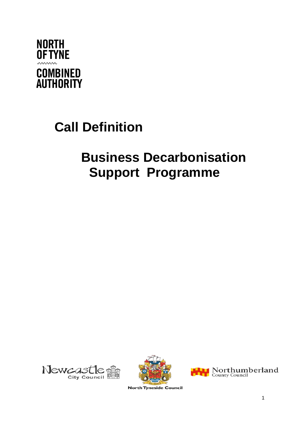

# **Call Definition**

## **Business Decarbonisation Support Programme**







**North Tyneside Council**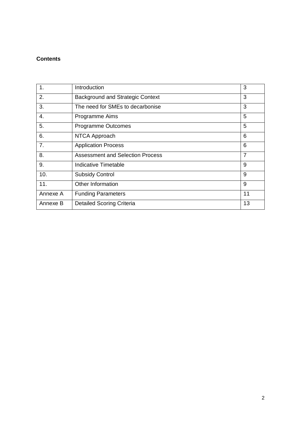#### **Contents**

| 1.       | Introduction                            | 3              |
|----------|-----------------------------------------|----------------|
| 2.       | <b>Background and Strategic Context</b> | 3              |
| 3.       | The need for SMEs to decarbonise        | 3              |
| 4.       | Programme Aims                          | 5              |
| 5.       | <b>Programme Outcomes</b>               | 5              |
| 6.       | NTCA Approach                           | 6              |
| 7.       | <b>Application Process</b>              | 6              |
| 8.       | <b>Assessment and Selection Process</b> | $\overline{7}$ |
| 9.       | Indicative Timetable                    | 9              |
| 10.      | <b>Subsidy Control</b>                  | 9              |
| 11.      | Other Information                       | 9              |
| Annexe A | <b>Funding Parameters</b>               | 11             |
| Annexe B | <b>Detailed Scoring Criteria</b>        | 13             |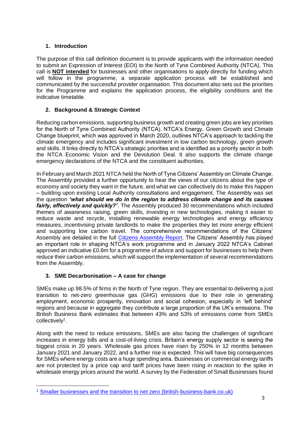#### **1. Introduction**

The purpose of this call definition document is to provide applicants with the information needed to submit an Expression of Interest (EOI) to the North of Tyne Combined Authority (NTCA). This call is **NOT intended** for businesses and other organisations to apply directly for funding which will follow in the programme, a separate application process will be established and communicated by the successful provider organisation. This document also sets out the priorities for the Programme and explains the application process, the eligibility conditions and the indicative timetable.

#### **2. Background & Strategic Context**

Reducing carbon emissions, supporting business growth and creating green jobs are key priorities for the North of Tyne Combined Authority (NTCA). NTCA's Energy, Green Growth and Climate Change blueprint, which was approved in March 2020, outlines NTCA's approach to tackling the climate emergency and includes significant investment in low carbon technology, green growth and skills. It links directly to NTCA's strategic priorities and is identified as a priority sector in both the NTCA Economic Vision and the Devolution Deal. It also supports the climate change emergency declarations of the NTCA and the constituent authorities.

In February and March 2021 NTCA held the North of Tyne Citizens' Assembly on Climate Change. The Assembly provided a further opportunity to hear the views of our citizens about the type of economy and society they want in the future, and what we can collectively do to make this happen – building upon existing Local Authority consultations and engagement. The Assembly was set the question *'what should we do in the region to address climate change and its causes fairly, effectively and quickly?'*. The Assembly produced 30 recommendations which included themes of awareness raising, green skills, investing in new technologies, making it easier to reduce waste and recycle, installing renewable energy technologies and energy efficiency measures, incentivising private landlords to make the properties they let more energy efficient and supporting low carbon travel. The comprehensive recommendations of the Citizens' Assembly are detailed in the full [Citizens Assembly Report.](https://www.northoftyne-ca.gov.uk/wp-content/uploads/2021/07/NTCA-Citizens-Assembly-on-Climate-Change-report.pdf) The Citizens' Assembly has played an important role in shaping NTCA's work programme and in January 2022 NTCA's Cabinet approved an indicative £0.8m for a programme of advice and support for businesses to help them reduce their carbon emissions, which will support the implementation of several recommendations from the Assembly.

#### **3. SME Decarbonisation – A case for change**

SMEs make up 98.5% of firms in the North of Tyne region. They are essential to delivering a just transition to net-zero greenhouse gas (GHG) emissions due to their role in generating employment, economic prosperity, innovation and social cohesion, especially in 'left behind' regions and because in aggregate they contribute a large proportion of the UK's emissions. The British Business Bank estimates that between 43% and 53% of emissions come from SMEs collectively<sup>1</sup>.

Along with the need to reduce emissions, SMEs are also facing the challenges of significant increases in energy bills and a cost-of-living crisis. Britain's energy supply sector is seeing the biggest crisis in 20 years. Wholesale gas prices have risen by 250% in 12 months between January 2021 and January 2022, and a further rise is expected. This will have big consequences for SMEs where energy costs are a huge spending area. Businesses on commercial energy tariffs are not protected by a price cap and tariff prices have been rising in reaction to the spike in wholesale energy prices around the world. A survey by the Federation of Small Businesses found

<sup>1</sup> [Smaller businesses and the transition to net zero \(british-business-bank.co.uk\)](https://www.british-business-bank.co.uk/wp-content/uploads/2021/10/J0026_Net_Zero_Report_AW.pdf)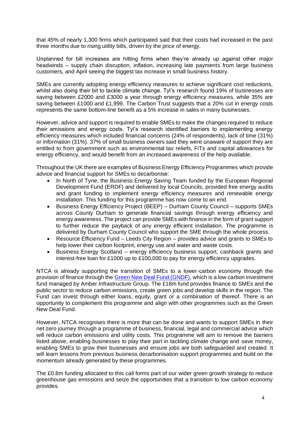that 45% of nearly 1,300 firms which participated said that their costs had increased in the past three months due to rising utility bills, driven by the price of energy.

Unplanned for bill increases are hitting firms when they're already up against other major headwinds – supply chain disruption, inflation, increasing late payments from large business customers, and April seeing the biggest tax increase in small business history.

SMEs are currently adopting energy efficiency measures to achieve significant cost reductions, whilst also doing their bit to tackle climate change. Tyl's research found 19% of businesses are saving between £2000 and £3000 a year through energy efficiency measures, while 35% are saving between £1000 and £1,999. The Carbon Trust suggests that a 20% cut in energy costs represents the same bottom-line benefit as a 5% increase in sales in many businesses.

However, advice and support is required to enable SMEs to make the changes required to reduce their emissions and energy costs. Tyl's research identified barriers to implementing energy efficiency measures which included financial concerns (24% of respondents), lack of time (31%) or information (31%). 37% of small business owners said they were unaware of support they are entitled to from government such as environmental tax reliefs, FiTs and capital allowances for energy efficiency, and would benefit from an increased awareness of the help available.

Throughout the UK there are examples of Business Energy Efficiency Programmes which provide advice and financial support for SMEs to decarbonise:

- In North of Tyne, the Business Energy Saving Team funded by the European Regional Development Fund (ERDF) and delivered by local Councils, provided free energy audits and grant funding to implement energy efficiency measures and renewable energy installation. This funding for this programme has now come to an end.
- Business Energy Efficiency Project (BEEP) Durham County Council supports SMEs across County Durham to generate financial savings through energy efficiency and energy awareness. The project can provide SMEs with finance in the form of grant support to further reduce the payback of any energy efficient installation. The programme is delivered by Durham County Council who support the SME through the whole process.
- Resource Efficiency Fund Leeds City Region provides advice and grants to SMEs to help lower their carbon footprint, energy use and water and waste costs.
- Business Energy Scotland energy efficiency business support, cashback grants and interest-free loan for £1000 up to £100,000 to pay for energy efficiency upgrades.

NTCA is already supporting the transition of SMEs to a lower-carbon economy through the provision of finance through the [Green New Deal Fund \(GNDF\),](https://www.amberinfrastructure.com/our-funds/the-green-new-deal-fund/) which is a low carbon investment fund managed by Amber Infrastructure Group. The £18m fund provides finance to SMEs and the public sector to reduce carbon emissions, create green jobs and develop skills in the region. The Fund can invest through either loans, equity, grant or a combination of thereof. There is an opportunity to complement this programme and align with other programmes such as the Green New Deal Fund.

However, NTCA recognises there is more that can be done and wants to support SMEs in their net zero journey through a programme of business, financial, legal and commercial advice which will reduce carbon emissions and utility costs. This programme will aim to remove the barriers listed above, enabling businesses to play their part in tackling climate change and save money, enabling SMEs to grow their businesses and ensure jobs are both safeguarded and created. It will learn lessons from previous business decarbonisation support programmes and build on the momentum already generated by these programmes.

The £0.8m funding allocated to this call forms part of our wider green growth strategy to reduce greenhouse gas emissions and seize the opportunities that a transition to low carbon economy provides.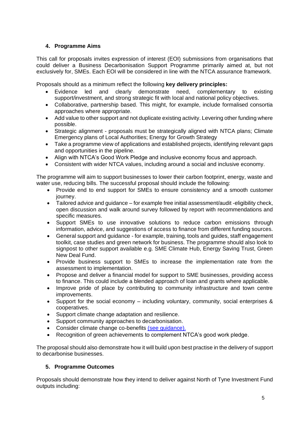#### **4. Programme Aims**

This call for proposals invites expression of interest (EOI) submissions from organisations that could deliver a Business Decarbonisation Support Programme primarily aimed at, but not exclusively for, SMEs. Each EOI will be considered in line with the NTCA assurance framework.

Proposals should as a minimum reflect the following **key delivery principles:**

- Evidence led and clearly demonstrate need, complementary to existing support/investment, and strong strategic fit with local and national policy objectives.
- Collaborative, partnership based. This might, for example, include formalised consortia approaches where appropriate.
- Add value to other support and not duplicate existing activity. Levering other funding where possible.
- Strategic alignment proposals must be strategically aligned with NTCA plans; Climate Emergency plans of Local Authorities; Energy for Growth Strategy
- Take a programme view of applications and established projects, identifying relevant gaps and opportunities in the pipeline.
- Align with NTCA's Good Work Pledge and inclusive economy focus and approach.
- Consistent with wider NTCA values, including around a social and inclusive economy.

The programme will aim to support businesses to lower their carbon footprint, energy, waste and water use, reducing bills. The successful proposal should include the following:

- Provide end to end support for SMEs to ensure consistency and a smooth customer journey.
- Tailored advice and guidance for example free initial assessment/audit -eligibility check, open discussion and walk around survey followed by report with recommendations and specific measures.
- Support SMEs to use innovative solutions to reduce carbon emissions through information, advice, and suggestions of access to finance from different funding sources.
- General support and quidance for example, training, tools and quides, staff engagement toolkit, case studies and green network for business. The programme should also look to signpost to other support available e.g. SME Climate Hub, Energy Saving Trust, Green New Deal Fund.
- Provide business support to SMEs to increase the implementation rate from the assessment to implementation.
- Propose and deliver a financial model for support to SME businesses, providing access to finance. This could include a blended approach of loan and grants where applicable.
- Improve pride of place by contributing to community infrastructure and town centre improvements.
- Support for the social economy including voluntary, community, social enterprises & cooperatives.
- Support climate change adaptation and resilience.
- Support community approaches to decarbonisation.
- Consider climate change co-benefits [\(see guidance\).](https://cobenefits-toolkit.ashden.org/wp-content/uploads/2022/06/Co-Benefits-Guidance.pdf)
- Recognition of green achievements to complement NTCA's good work pledge.

The proposal should also demonstrate how it will build upon best practise in the delivery of support to decarbonise businesses.

#### **5. Programme Outcomes**

Proposals should demonstrate how they intend to deliver against North of Tyne Investment Fund outputs including: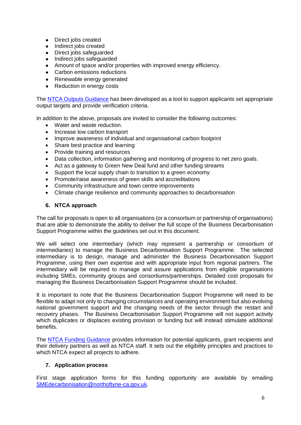- Direct jobs created
- Indirect jobs created
- Direct jobs safeguarded<br>• Indirect jobs safeguarded
- Indirect jobs safeguarded
- Amount of space and/or properties with improved energy efficiency.
- Carbon emissions reductions
- Renewable energy generated
- Reduction in energy costs

The [NTCA Outputs Guidance](https://www.northoftyne-ca.gov.uk/wp-content/uploads/2020/11/North-of-Tyne-Combined-Authority-Outputs-Guidance.pdf) has been developed as a tool to support applicants set appropriate output targets and provide verification criteria.

In addition to the above, proposals are invited to consider the following outcomes:

- Water and waste reduction.
- Increase low carbon transport
- Improve awareness of individual and organisational carbon footprint
- Share best practice and learning
- Provide training and resources
- Data collection, information gathering and monitoring of progress to net zero goals.
- Act as a gateway to Green New Deal fund and other funding streams
- Support the local supply chain to transition to a green economy
- Promote/raise awareness of green skills and accreditations
- Community infrastructure and town centre improvements
- Climate change resilience and community approaches to decarbonisation

#### **6. NTCA approach**

The call for proposals is open to all organisations (or a consortium or partnership of organisations) that are able to demonstrate the ability to deliver the full scope of the Business Decarbonisation Support Programme within the guidelines set out in this document.

We will select one intermediary (which may represent a partnership or consortium of intermediaries) to manage the Business Decarbonisation Support Programme. The selected intermediary is to design, manage and administer the Business Decarbonisation Support Programme, using their own expertise and with appropriate input from regional partners. The intermediary will be required to manage and assure applications from eligible organisations including SMEs, community groups and consortiums/partnerships. Detailed cost proposals for managing the Business Decarbonisation Support Programme should be included.

It is important to note that the Business Decarbonisation Support Programme will need to be flexible to adapt not only to changing circumstances and operating environment but also evolving national government support and the changing needs of the sector through the restart and recovery phases. The Business Decarbonisation Support Programme will not support activity which duplicates or displaces existing provision or funding but will instead stimulate additional benefits.

The [NTCA Funding Guidance](https://www.northoftyne-ca.gov.uk/wp-content/uploads/2022/05/IF-G-004-NTCA-Funding-Guidance-to-Applicants.pdf) provides information for potential applicants, grant recipients and their delivery partners as well as NTCA staff. It sets out the eligibility principles and practices to which NTCA expect all projects to adhere.

#### **7. Application process**

First stage application forms for this funding opportunity are available by emailing [SMEdecarbonisation@northoftyne-ca.gov.uk.](mailto:Elizabeth.lunn@northoftyne-ca.gov.uk)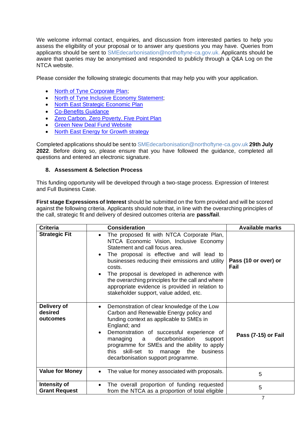We welcome informal contact, enquiries, and discussion from interested parties to help you assess the eligibility of your proposal or to answer any questions you may have. Queries from applicants should be sent to SMEdecarbonisation@northoftyne-ca.gov.uk. Applicants should be aware that queries may be anonymised and responded to publicly through a Q&A Log on the NTCA website.

Please consider the following strategic documents that may help you with your application.

- [North of Tyne Corporate](https://www.northoftyne-ca.gov.uk/wp-content/uploads/2021/06/Jobs-skills-and-a-post-covid-economy-Corporate-Plan-2021-2022.pdf) Plan;
- North of Tyne Inclusive Economy Statement:
- [North East Strategic Economic Plan](https://www.northeastlep.co.uk/the-plan)
- [Co-Benefits Guidance](https://cobenefits-toolkit.ashden.org/wp-content/uploads/2022/06/Co-Benefits-Guidance.pdf)
- [Zero Carbon. Zero Poverty.](https://www.northoftyne-ca.gov.uk/projects/zero-carbon-zero-poverty-our-5-point-plan/) Five Point Plan
- [Green New Deal Fund Website](https://www.amberinfrastructure.com/our-funds/the-green-new-deal-fund/)
- [North East Energy for Growth strategy](https://www.northeastlep.co.uk/wp-content/uploads/2019/08/full-strategy-energy-for-growth-strategy.pdf)

Completed applications should be sent to SMEdecarbonisation@northoftyne-ca.gov.uk **29th July 2022**. Before doing so, please ensure that you have followed the guidance, completed all questions and entered an electronic signature.

#### **8. Assessment & Selection Process**

This funding opportunity will be developed through a two-stage process. Expression of Interest and Full Business Case.

**First stage Expressions of Interest** should be submitted on the form provided and will be scored against the following criteria. Applicants should note that, in line with the overarching principles of the call, strategic fit and delivery of desired outcomes criteria are **pass/fail**.

| <b>Criteria</b>                      | <b>Consideration</b>                                                                                                                                                                                                                                                                                                                                                                                                                                                       | <b>Available marks</b>       |
|--------------------------------------|----------------------------------------------------------------------------------------------------------------------------------------------------------------------------------------------------------------------------------------------------------------------------------------------------------------------------------------------------------------------------------------------------------------------------------------------------------------------------|------------------------------|
| <b>Strategic Fit</b>                 | The proposed fit with NTCA Corporate Plan,<br>$\bullet$<br>NTCA Economic Vision, Inclusive Economy<br>Statement and call focus area.<br>The proposal is effective and will lead to<br>$\bullet$<br>businesses reducing their emissions and utility<br>costs.<br>The proposal is developed in adherence with<br>$\bullet$<br>the overarching principles for the call and where<br>appropriate evidence is provided in relation to<br>stakeholder support, value added, etc. | Pass (10 or over) or<br>Fail |
| Delivery of<br>desired<br>outcomes   | Demonstration of clear knowledge of the Low<br>$\bullet$<br>Carbon and Renewable Energy policy and<br>funding context as applicable to SMEs in<br>England; and<br>Demonstration of successful experience of<br>$\bullet$<br>decarbonisation<br>managing<br>a a<br>support<br>programme for SMEs and the ability to apply<br>skill-set<br>the<br>this<br>business<br>to<br>manage<br>decarbonisation support programme.                                                     | Pass (7-15) or Fail          |
| <b>Value for Money</b>               | The value for money associated with proposals.<br>$\bullet$                                                                                                                                                                                                                                                                                                                                                                                                                | 5                            |
| Intensity of<br><b>Grant Request</b> | The overall proportion of funding requested<br>$\bullet$<br>from the NTCA as a proportion of total eligible                                                                                                                                                                                                                                                                                                                                                                | 5                            |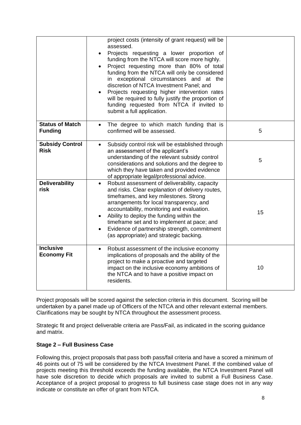|                                          | project costs (intensity of grant request) will be<br>assessed.<br>Projects requesting a lower proportion of<br>$\bullet$<br>funding from the NTCA will score more highly.<br>Project requesting more than 80% of total<br>$\bullet$<br>funding from the NTCA will only be considered<br>in exceptional circumstances and at the<br>discretion of NTCA Investment Panel; and<br>Projects requesting higher intervention rates<br>will be required to fully justify the proportion of<br>funding requested from NTCA if invited to<br>submit a full application. |    |
|------------------------------------------|-----------------------------------------------------------------------------------------------------------------------------------------------------------------------------------------------------------------------------------------------------------------------------------------------------------------------------------------------------------------------------------------------------------------------------------------------------------------------------------------------------------------------------------------------------------------|----|
| <b>Status of Match</b><br><b>Funding</b> | The degree to which match funding that is<br>$\bullet$<br>confirmed will be assessed.                                                                                                                                                                                                                                                                                                                                                                                                                                                                           | 5  |
| <b>Subsidy Control</b><br><b>Risk</b>    | Subsidy control risk will be established through<br>$\bullet$<br>an assessment of the applicant's<br>understanding of the relevant subsidy control<br>considerations and solutions and the degree to<br>which they have taken and provided evidence<br>of appropriate legal/professional advice.                                                                                                                                                                                                                                                                | 5  |
| <b>Deliverability</b><br>risk            | Robust assessment of deliverability, capacity<br>$\bullet$<br>and risks. Clear explanation of delivery routes,<br>timeframes, and key milestones. Strong<br>arrangements for local transparency, and<br>accountability, monitoring and evaluation.<br>Ability to deploy the funding within the<br>$\bullet$<br>timeframe set and to implement at pace; and<br>Evidence of partnership strength, commitment<br>(as appropriate) and strategic backing.                                                                                                           | 15 |
| <b>Inclusive</b><br><b>Economy Fit</b>   | Robust assessment of the inclusive economy<br>$\bullet$<br>implications of proposals and the ability of the<br>project to make a proactive and targeted<br>impact on the inclusive economy ambitions of<br>the NTCA and to have a positive impact on<br>residents.                                                                                                                                                                                                                                                                                              | 10 |

Project proposals will be scored against the selection criteria in this document. Scoring will be undertaken by a panel made up of Officers of the NTCA and other relevant external members. Clarifications may be sought by NTCA throughout the assessment process.

Strategic fit and project deliverable criteria are Pass/Fail, as indicated in the scoring guidance and matrix.

#### **Stage 2 – Full Business Case**

Following this, project proposals that pass both pass/fail criteria and have a scored a minimum of 46 points out of 75 will be considered by the NTCA Investment Panel. If the combined value of projects meeting this threshold exceeds the funding available, the NTCA Investment Panel will have sole discretion to decide which proposals are invited to submit a Full Business Case. Acceptance of a project proposal to progress to full business case stage does not in any way indicate or constitute an offer of grant from NTCA.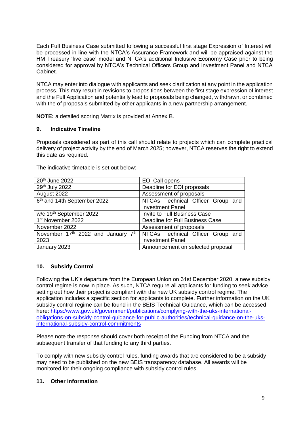Each Full Business Case submitted following a successful first stage Expression of Interest will be processed in line with the NTCA's Assurance Framework and will be appraised against the HM Treasury 'five case' model and NTCA's additional Inclusive Economy Case prior to being considered for approval by NTCA's Technical Officers Group and Investment Panel and NTCA Cabinet.

NTCA may enter into dialogue with applicants and seek clarification at any point in the application process. This may result in revisions to propositions between the first stage expression of interest and the Full Application and potentially lead to proposals being changed, withdrawn, or combined with the of proposals submitted by other applicants in a new partnership arrangement.

**NOTE:** a detailed scoring Matrix is provided at Annex B.

#### **9. Indicative Timeline**

Proposals considered as part of this call should relate to projects which can complete practical delivery of project activity by the end of March 2025; however, NTCA reserves the right to extend this date as required.

| 20 <sup>th</sup> June 2022              | <b>EOI Call opens</b>                                        |  |  |  |  |
|-----------------------------------------|--------------------------------------------------------------|--|--|--|--|
| 29 <sup>th</sup> July 2022              | Deadline for EOI proposals                                   |  |  |  |  |
| August 2022                             | Assessment of proposals                                      |  |  |  |  |
| 6 <sup>th</sup> and 14th September 2022 | NTCAs Technical Officer Group and<br><b>Investment Panel</b> |  |  |  |  |
| w/c 19 <sup>th</sup> September 2022     | <b>Invite to Full Business Case</b>                          |  |  |  |  |
| 1 <sup>st</sup> November 2022           | Deadline for Full Business Case                              |  |  |  |  |
| November 2022                           | Assessment of proposals                                      |  |  |  |  |
| November 17th 2022 and January 7th      | NTCAs Technical Officer Group and                            |  |  |  |  |
| 2023                                    | <b>Investment Panel</b>                                      |  |  |  |  |
| January 2023                            | Announcement on selected proposal                            |  |  |  |  |

The indicative timetable is set out below:

#### **10. Subsidy Control**

Following the UK's departure from the European Union on 31st December 2020, a new subsidy control regime is now in place. As such, NTCA require all applicants for funding to seek advice setting out how their project is compliant with the new UK subsidy control regime. The application includes a specific section for applicants to complete. Further information on the UK subsidy control regime can be found in the BEIS Technical Guidance, which can be accessed here: [https://www.gov.uk/government/publications/complying-with-the-uks-international](https://www.gov.uk/government/publications/complying-with-the-uks-international-obligations-on-subsidy-control-guidance-for-public-authorities/technical-guidance-on-the-uks-international-subsidy-control-commitments)[obligations-on-subsidy-control-guidance-for-public-authorities/technical-guidance-on-the-uks](https://www.gov.uk/government/publications/complying-with-the-uks-international-obligations-on-subsidy-control-guidance-for-public-authorities/technical-guidance-on-the-uks-international-subsidy-control-commitments)[international-subsidy-control-commitments](https://www.gov.uk/government/publications/complying-with-the-uks-international-obligations-on-subsidy-control-guidance-for-public-authorities/technical-guidance-on-the-uks-international-subsidy-control-commitments)

Please note the response should cover both receipt of the Funding from NTCA and the subsequent transfer of that funding to any third parties.

To comply with new subsidy control rules, funding awards that are considered to be a subsidy may need to be published on the new BEIS transparency database. All awards will be monitored for their ongoing compliance with subsidy control rules.

#### **11. Other information**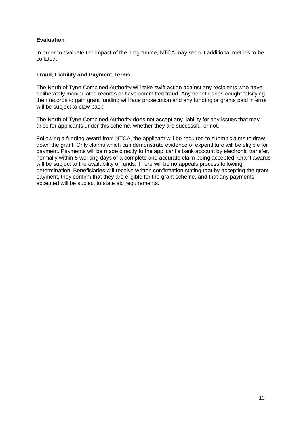#### **Evaluation**

In order to evaluate the impact of the programme, NTCA may set out additional metrics to be collated.

#### **Fraud, Liability and Payment Terms**

The North of Tyne Combined Authority will take swift action against any recipients who have deliberately manipulated records or have committed fraud. Any beneficiaries caught falsifying their records to gain grant funding will face prosecution and any funding or grants paid in error will be subject to claw back.

The North of Tyne Combined Authority does not accept any liability for any issues that may arise for applicants under this scheme, whether they are successful or not.

Following a funding award from NTCA, the applicant will be required to submit claims to draw down the grant. Only claims which can demonstrate evidence of expenditure will be eligible for payment. Payments will be made directly to the applicant's bank account by electronic transfer, normally within 5 working days of a complete and accurate claim being accepted. Grant awards will be subject to the availability of funds. There will be no appeals process following determination. Beneficiaries will receive written confirmation stating that by accepting the grant payment, they confirm that they are eligible for the grant scheme, and that any payments accepted will be subject to state aid requirements.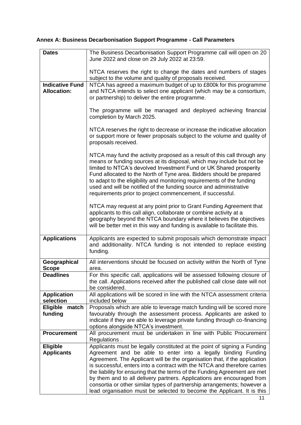### **Annex A: Business Decarbonisation Support Programme - Call Parameters**

| <b>Dates</b>           | The Business Decarbonisation Support Programme call will open on 20                                                                               |
|------------------------|---------------------------------------------------------------------------------------------------------------------------------------------------|
|                        | June 2022 and close on 29 July 2022 at 23:59.                                                                                                     |
|                        |                                                                                                                                                   |
|                        | NTCA reserves the right to change the dates and numbers of stages                                                                                 |
|                        | subject to the volume and quality of proposals received.                                                                                          |
| <b>Indicative Fund</b> | NTCA has agreed a maximum budget of up to £800k for this programme                                                                                |
| <b>Allocation:</b>     | and NTCA intends to select one applicant (which may be a consortium,                                                                              |
|                        | or partnership) to deliver the entire programme.                                                                                                  |
|                        |                                                                                                                                                   |
|                        | The programme will be managed and deployed achieving financial                                                                                    |
|                        | completion by March 2025.                                                                                                                         |
|                        |                                                                                                                                                   |
|                        | NTCA reserves the right to decrease or increase the indicative allocation                                                                         |
|                        | or support more or fewer proposals subject to the volume and quality of                                                                           |
|                        | proposals received.                                                                                                                               |
|                        | NTCA may fund the activity proposed as a result of this call through any                                                                          |
|                        | means or funding sources at its disposal, which may include but not be                                                                            |
|                        | limited to NTCA's devolved Investment Fund or UK Shared prosperity                                                                                |
|                        | Fund allocated to the North of Tyne area. Bidders should be prepared                                                                              |
|                        | to adapt to the eligibility and monitoring requirements of the funding                                                                            |
|                        | used and will be notified of the funding source and administrative                                                                                |
|                        | requirements prior to project commencement, if successful.                                                                                        |
|                        |                                                                                                                                                   |
|                        | NTCA may request at any point prior to Grant Funding Agreement that                                                                               |
|                        | applicants to this call align, collaborate or combine activity at a                                                                               |
|                        | geography beyond the NTCA boundary where it believes the objectives                                                                               |
|                        | will be better met in this way and funding is available to facilitate this.                                                                       |
| <b>Applications</b>    | Applicants are expected to submit proposals which demonstrate impact                                                                              |
|                        | and additionality. NTCA funding is not intended to replace existing                                                                               |
|                        | funding.                                                                                                                                          |
|                        |                                                                                                                                                   |
| Geographical           | All interventions should be focused on activity within the North of Tyne                                                                          |
| <b>Scope</b>           | area.                                                                                                                                             |
| <b>Deadlines</b>       | For this specific call, applications will be assessed following closure of                                                                        |
|                        | the call. Applications received after the published call close date will not<br>be considered.                                                    |
| <b>Application</b>     | All applications will be scored in line with the NTCA assessment criteria                                                                         |
| selection              | included below                                                                                                                                    |
| Eligible match         | Proposals which are able to leverage match funding will be scored more                                                                            |
| funding                | favourably through the assessment process. Applicants are asked to                                                                                |
|                        | indicate if they are able to leverage private funding through co-financing                                                                        |
|                        | options alongside NTCA's investment.                                                                                                              |
| <b>Procurement</b>     | All procurement must be undertaken in line with Public Procurement                                                                                |
|                        | Regulations.                                                                                                                                      |
| <b>Eligible</b>        | Applicants must be legally constituted at the point of signing a Funding                                                                          |
| <b>Applicants</b>      | Agreement and be able to enter into a legally binding Funding                                                                                     |
|                        | Agreement. The Applicant will be the organisation that, if the application                                                                        |
|                        | is successful, enters into a contract with the NTCA and therefore carries                                                                         |
|                        | the liability for ensuring that the terms of the Funding Agreement are met                                                                        |
|                        | by them and to all delivery partners. Applications are encouraged from                                                                            |
|                        | consortia or other similar types of partnership arrangements; however a<br>lead organisation must be selected to become the Applicant. It is this |
|                        |                                                                                                                                                   |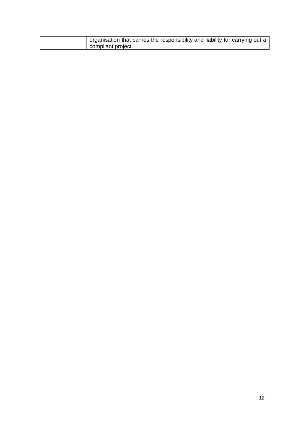| organisation that carries the responsibility and liability for carrying out a |
|-------------------------------------------------------------------------------|
| compliant project.                                                            |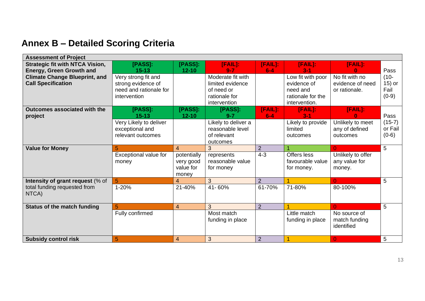### **Annex B – Detailed Scoring Criteria**

| <b>Assessment of Project</b>                                      |                                                                                     |                                                |                                                                                      |                |                                                                                    |                                                     |                                      |
|-------------------------------------------------------------------|-------------------------------------------------------------------------------------|------------------------------------------------|--------------------------------------------------------------------------------------|----------------|------------------------------------------------------------------------------------|-----------------------------------------------------|--------------------------------------|
| <b>Strategic fit with NTCA Vision,</b>                            | [PASS]:                                                                             | [PASS]:                                        | [FAIL]:                                                                              | [FAIL]:        | [FAIL]:                                                                            | [FAIL]:                                             |                                      |
| <b>Energy, Green Growth and</b>                                   | $15 - 13$                                                                           | $12 - 10$                                      | $9 - 7$                                                                              | $6 - 4$        | $3 - 1$                                                                            |                                                     | Pass                                 |
| <b>Climate Change Blueprint, and</b><br><b>Call Specification</b> | Very strong fit and<br>strong evidence of<br>need and rationale for<br>intervention |                                                | Moderate fit with<br>limited evidence<br>of need or<br>rationale for<br>intervention |                | Low fit with poor<br>evidence of<br>need and<br>rationale for the<br>intervention. | No fit with no<br>evidence of need<br>or rationale. | $(10 -$<br>15) or<br>Fail<br>$(0-9)$ |
| Outcomes associated with the                                      | [PASS]:                                                                             | [PASS]:                                        | [PASS]:                                                                              | $[FAIL]$ :     | [FAIL]:                                                                            | $[FAIL]$ :                                          |                                      |
| project                                                           | $15 - 13$                                                                           | $12 - 10$                                      | $9 - 7$                                                                              | $6 - 4$        | $3 - 1$                                                                            | n                                                   | Pass                                 |
|                                                                   | Very Likely to deliver<br>exceptional and<br>relevant outcomes                      |                                                | Likely to deliver a<br>reasonable level<br>of relevant<br>outcomes                   |                | Likely to provide<br>limited<br>outcomes                                           | Unlikely to meet<br>any of defined<br>outcomes      | $(15-7)$<br>or Fail<br>$(0-6)$       |
| <b>Value for Money</b>                                            | 5                                                                                   | $\overline{4}$                                 | 3                                                                                    | $\overline{2}$ |                                                                                    | 0                                                   | 5                                    |
|                                                                   | Exceptional value for<br>money                                                      | potentially<br>very good<br>value for<br>money | represents<br>reasonable value<br>for money                                          | $4 - 3$        | Offers less<br>favourable value<br>for money.                                      | Unlikely to offer<br>any value for<br>money.        |                                      |
| Intensity of grant request (% of                                  | 5                                                                                   | $\overline{4}$                                 | 3                                                                                    | $\overline{2}$ |                                                                                    | $\Omega$                                            | 5                                    |
| total funding requested from<br>NTCA)                             | 1-20%                                                                               | 21-40%                                         | 41-60%                                                                               | 61-70%         | 71-80%                                                                             | 80-100%                                             |                                      |
| <b>Status of the match funding</b>                                | 5                                                                                   | $\overline{4}$                                 | 3                                                                                    | $\overline{2}$ |                                                                                    | $\Omega$                                            | 5                                    |
|                                                                   | Fully confirmed                                                                     |                                                | Most match<br>funding in place                                                       |                | Little match<br>funding in place                                                   | No source of<br>match funding<br>identified         |                                      |
| <b>Subsidy control risk</b>                                       | 5                                                                                   | $\overline{4}$                                 | 3                                                                                    | 2              |                                                                                    | 0                                                   | 5                                    |